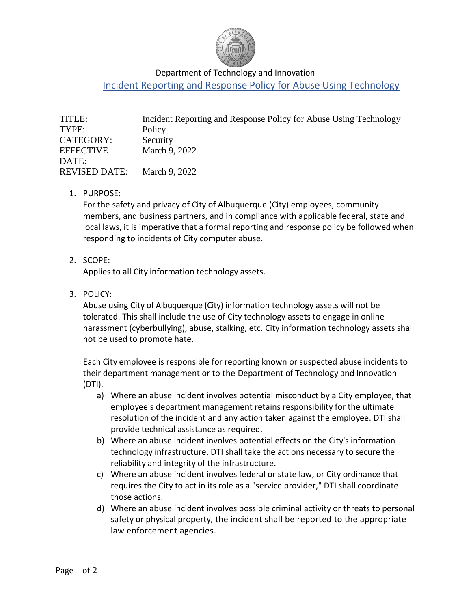

### Department of Technology and Innovation

Incident Reporting and Response Policy for Abuse Using Technology

| TITLE:               | Incident Reporting and Response Policy for Abuse Using Technology |
|----------------------|-------------------------------------------------------------------|
| TYPE:                | Policy                                                            |
| CATEGORY:            | Security                                                          |
| <b>EFFECTIVE</b>     | March 9, 2022                                                     |
| DATE:                |                                                                   |
| <b>REVISED DATE:</b> | March 9, 2022                                                     |

1. PURPOSE:

For the safety and privacy of City of Albuquerque (City) employees, community members, and business partners, and in compliance with applicable federal, state and local laws, it is imperative that a formal reporting and response policy be followed when responding to incidents of City computer abuse.

2. SCOPE:

Applies to all City information technology assets.

3. POLICY:

Abuse using City of Albuquerque (City) information technology assets will not be tolerated. This shall include the use of City technology assets to engage in online harassment (cyberbullying), abuse, stalking, etc. City information technology assets shall not be used to promote hate.

Each City employee is responsible for reporting known or suspected abuse incidents to their department management or to the Department of Technology and Innovation (DTI).

- a) Where an abuse incident involves potential misconduct by a City employee, that employee's department management retains responsibility for the ultimate resolution of the incident and any action taken against the employee. DTI shall provide technical assistance as required.
- b) Where an abuse incident involves potential effects on the City's information technology infrastructure, DTI shall take the actions necessary to secure the reliability and integrity of the infrastructure.
- c) Where an abuse incident involves federal or state law, or City ordinance that requires the City to act in its role as a "service provider," DTI shall coordinate those actions.
- d) Where an abuse incident involves possible criminal activity or threats to personal safety or physical property, the incident shall be reported to the appropriate law enforcement agencies.